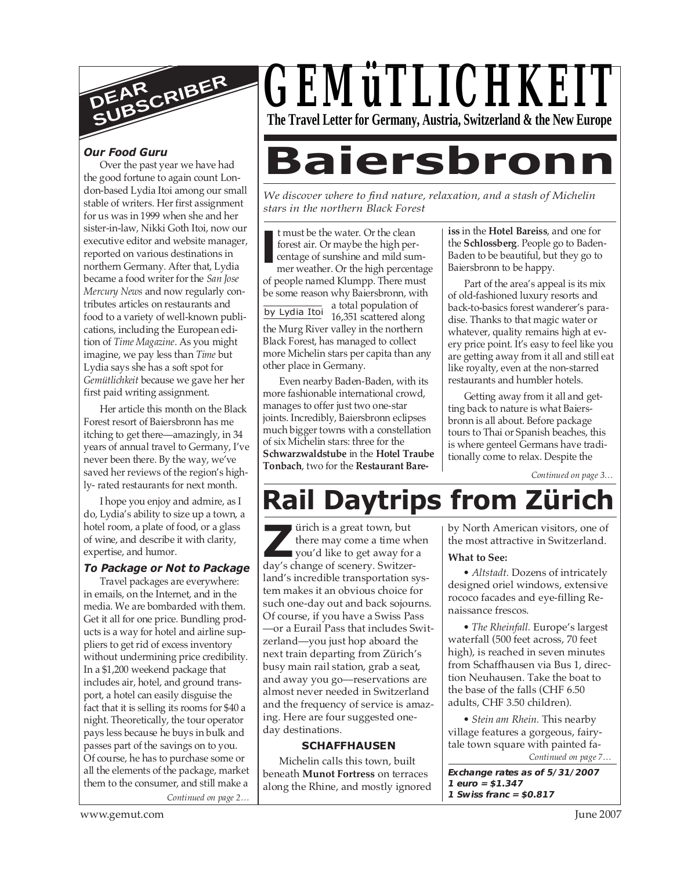

#### *Our Food Guru*

Over the past year we have had the good fortune to again count London-based Lydia Itoi among our small stable of writers. Her first assignment for us was in 1999 when she and her sister-in-law, Nikki Goth Itoi, now our executive editor and website manager, reported on various destinations in northern Germany. After that, Lydia became a food writer for the *San Jose Mercury News* and now regularly contributes articles on restaurants and food to a variety of well-known publications, including the European edition of *Time Magazine*. As you might imagine, we pay less than *Time* but Lydia says she has a soft spot for *Gemütlichkeit* because we gave her her first paid writing assignment.

Her article this month on the Black Forest resort of Baiersbronn has me itching to get there—amazingly, in 34 years of annual travel to Germany, I've never been there. By the way, we've saved her reviews of the region's highly- rated restaurants for next month.

I hope you enjoy and admire, as I do, Lydia's ability to size up a town, a hotel room, a plate of food, or a glass of wine, and describe it with clarity, expertise, and humor.

#### *To Package or Not to Package*

*Continued on page 2…* Travel packages are everywhere: in emails, on the Internet, and in the media. We are bombarded with them. Get it all for one price. Bundling products is a way for hotel and airline suppliers to get rid of excess inventory without undermining price credibility. In a \$1,200 weekend package that includes air, hotel, and ground transport, a hotel can easily disguise the fact that it is selling its rooms for \$40 a night. Theoretically, the tour operator pays less because he buys in bulk and passes part of the savings on to you. Of course, he has to purchase some or all the elements of the package, market them to the consumer, and still make a



# **Baiersbron**

*We discover where to find nature, relaxation, and a stash of Michelin stars in the northern Black Forest*

**I** t must be the water. Or the clean forest air. Or maybe the high percentage of sunshine and mild summer weather. Or the high percentage of people named Klumpp. There must be some reason why Baiersbronn, with

by Lydia Itol a total population of 16,351 scattered along the Murg River valley in the northern Black Forest, has managed to collect more Michelin stars per capita than any other place in Germany.

Even nearby Baden-Baden, with its more fashionable international crowd, manages to offer just two one-star joints. Incredibly, Baiersbronn eclipses much bigger towns with a constellation of six Michelin stars: three for the **Schwarzwaldstube** in the **Hotel Traube Tonbach**, two for the **Restaurant Bare-** **iss** in the **Hotel Bareiss**, and one for the **Schlossberg**. People go to Baden-Baden to be beautiful, but they go to Baiersbronn to be happy.

Part of the area's appeal is its mix of old-fashioned luxury resorts and back-to-basics forest wanderer's paradise. Thanks to that magic water or whatever, quality remains high at every price point. It's easy to feel like you are getting away from it all and still eat like royalty, even at the non-starred restaurants and humbler hotels.

Getting away from it all and getting back to nature is what Baiersbronn is all about. Before package tours to Thai or Spanish beaches, this is where genteel Germans have traditionally come to relax. Despite the

*Continued on page 3…*

## **Rail Daytrips from Zürich**

ürich is a great town, but there may come a time when vou'd like to get away for a day's change of scenery. Switzer-<br> **Z***z* you'd like to get away for day's change of scenery. Switzerland's incredible transportation system makes it an obvious choice for such one-day out and back sojourns. Of course, if you have a Swiss Pass —or a Eurail Pass that includes Switzerland—you just hop aboard the next train departing from Zürich's busy main rail station, grab a seat, and away you go—reservations are almost never needed in Switzerland and the frequency of service is amazing. Here are four suggested oneday destinations.

#### **SCHAFFHAUSEN**

Michelin calls this town, built beneath **Munot Fortress** on terraces along the Rhine, and mostly ignored by North American visitors, one of the most attractive in Switzerland.

#### **What to See:**

*• Altstadt.* Dozens of intricately designed oriel windows, extensive rococo facades and eye-filling Renaissance frescos.

*• The Rheinfall.* Europe's largest waterfall (500 feet across, 70 feet high), is reached in seven minutes from Schaffhausen via Bus 1, direction Neuhausen. Take the boat to the base of the falls (CHF 6.50 adults, CHF 3.50 children).

*Continued on page 7… • Stein am Rhein.* This nearby village features a gorgeous, fairytale town square with painted fa-

**Exchange rates as of 5/31/2007 1 euro = \$1.347 1 Swiss franc = \$0.817**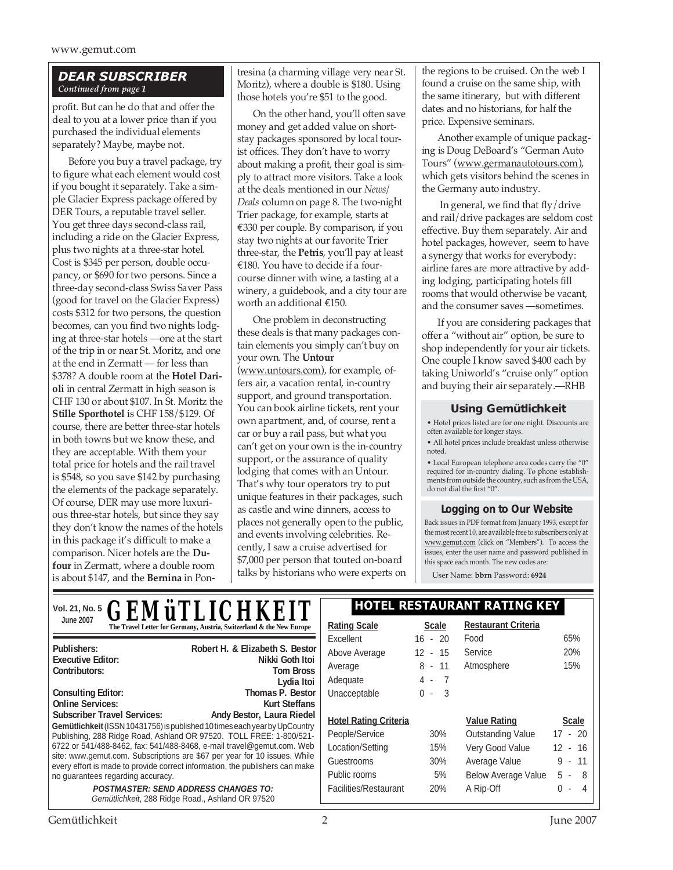#### *DEAR SUBSCRIBER Continued from page 1*

profit. But can he do that and offer the deal to you at a lower price than if you purchased the individual elements separately? Maybe, maybe not.

Before you buy a travel package, try to figure what each element would cost if you bought it separately. Take a simple Glacier Express package offered by DER Tours, a reputable travel seller. You get three days second-class rail, including a ride on the Glacier Express, plus two nights at a three-star hotel. Cost is \$345 per person, double occupancy, or \$690 for two persons. Since a three-day second-class Swiss Saver Pass (good for travel on the Glacier Express) costs \$312 for two persons, the question becomes, can you find two nights lodging at three-star hotels —one at the start of the trip in or near St. Moritz, and one at the end in Zermatt — for less than \$378? A double room at the **Hotel Darioli** in central Zermatt in high season is CHF 130 or about \$107. In St. Moritz the **Stille Sporthotel** is CHF 158/\$129. Of course, there are better three-star hotels in both towns but we know these, and they are acceptable. With them your total price for hotels and the rail travel is \$548, so you save \$142 by purchasing the elements of the package separately. Of course, DER may use more luxurious three-star hotels, but since they say they don't know the names of the hotels in this package it's difficult to make a comparison. Nicer hotels are the **Dufour** in Zermatt, where a double room is about \$147, and the **Bernina** in Pontresina (a charming village very near St. Moritz), where a double is \$180. Using those hotels you're \$51 to the good.

On the other hand, you'll often save money and get added value on shortstay packages sponsored by local tourist offices. They don't have to worry about making a profit, their goal is simply to attract more visitors. Take a look at the deals mentioned in our *News/ Deals* column on page 8. The two-night Trier package, for example, starts at €330 per couple. By comparison, if you stay two nights at our favorite Trier three-star, the **Petris**, you'll pay at least €180. You have to decide if a fourcourse dinner with wine, a tasting at a winery, a guidebook, and a city tour are worth an additional €150.

One problem in deconstructing these deals is that many packages contain elements you simply can't buy on your own. The **Untour** (www.untours.com), for example, offers air, a vacation rental, in-country support, and ground transportation. You can book airline tickets, rent your own apartment, and, of course, rent a car or buy a rail pass, but what you can't get on your own is the in-country support, or the assurance of quality lodging that comes with an Untour. That's why tour operators try to put unique features in their packages, such as castle and wine dinners, access to places not generally open to the public, and events involving celebrities. Recently, I saw a cruise advertised for \$7,000 per person that touted on-board talks by historians who were experts on the regions to be cruised. On the web I found a cruise on the same ship, with the same itinerary, but with different dates and no historians, for half the price. Expensive seminars.

Another example of unique packaging is Doug DeBoard's "German Auto Tours" (www.germanautotours.com), which gets visitors behind the scenes in the Germany auto industry.

In general, we find that fly/drive and rail/drive packages are seldom cost effective. Buy them separately. Air and hotel packages, however, seem to have a synergy that works for everybody: airline fares are more attractive by adding lodging, participating hotels fill rooms that would otherwise be vacant, and the consumer saves —sometimes.

If you are considering packages that offer a "without air" option, be sure to shop independently for your air tickets. One couple I know saved \$400 each by taking Uniworld's "cruise only" option and buying their air separately.—RHB

#### **Using Gemütlichkeit**

• Hotel prices listed are for one night. Discounts are often available for longer stays.

• All hotel prices include breakfast unless otherwise noted.

• Local European telephone area codes carry the "0" required for in-country dialing. To phone establishments from outside the country, such as from the USA, do not dial the first "0".

#### **Logging on to Our Website**

Back issues in PDF format from January 1993, except for the most recent 10, are available free to subscribers only at www.gemut.com (click on "Members"). To access the issues, enter the user name and password published in this space each month. The new codes are:

User Name: **bbrn** Password: **6924**

| <b>GEMÜTLICHKEIT</b><br>Vol. 21, No. 5                                                                                                                                                                                                                                                                                                                                                                                                                                                          |                                                                        | <b>HOTEL RESTAURANT RATING KEY</b> |              |                            |              |
|-------------------------------------------------------------------------------------------------------------------------------------------------------------------------------------------------------------------------------------------------------------------------------------------------------------------------------------------------------------------------------------------------------------------------------------------------------------------------------------------------|------------------------------------------------------------------------|------------------------------------|--------------|----------------------------|--------------|
| <b>June 2007</b>                                                                                                                                                                                                                                                                                                                                                                                                                                                                                | The Travel Letter for Germany, Austria, Switzerland & the New Europe   | <b>Rating Scale</b>                | <b>Scale</b> | <b>Restaurant Criteria</b> |              |
|                                                                                                                                                                                                                                                                                                                                                                                                                                                                                                 |                                                                        | Excellent                          | $16 - 20$    | Food                       | 65%          |
| Publishers:<br><b>Executive Editor:</b><br>Contributors:                                                                                                                                                                                                                                                                                                                                                                                                                                        | Robert H. & Elizabeth S. Bestor<br>Nikki Goth Itoi<br><b>Tom Bross</b> | Above Average                      | $12 - 15$    | Service                    | 20%          |
|                                                                                                                                                                                                                                                                                                                                                                                                                                                                                                 |                                                                        | Average                            | $8 - 11$     | Atmosphere                 | 15%          |
|                                                                                                                                                                                                                                                                                                                                                                                                                                                                                                 | Lydia Itoi                                                             | Adequate                           | $4 - 7$      |                            |              |
| <b>Consulting Editor:</b>                                                                                                                                                                                                                                                                                                                                                                                                                                                                       | Thomas P. Bestor                                                       | Unacceptable                       | $0 - 3$      |                            |              |
| <b>Online Services:</b>                                                                                                                                                                                                                                                                                                                                                                                                                                                                         | Kurt Steffans                                                          |                                    |              |                            |              |
| <b>Subscriber Travel Services:</b><br>Andy Bestor, Laura Riedel<br>Gemütlichkeit (ISSN 10431756) is published 10 times each year by UpCountry<br>Publishing, 288 Ridge Road, Ashland OR 97520. TOLL FREE: 1-800/521-<br>6722 or 541/488-8462, fax: 541/488-8468, e-mail travel@gemut.com. Web<br>site: www.gemut.com. Subscriptions are \$67 per year for 10 issues. While<br>every effort is made to provide correct information, the publishers can make<br>no guarantees regarding accuracy. |                                                                        | <b>Hotel Rating Criteria</b>       |              | <b>Value Rating</b>        | <b>Scale</b> |
|                                                                                                                                                                                                                                                                                                                                                                                                                                                                                                 |                                                                        | People/Service                     | 30%          | Outstanding Value          | $17 - 20$    |
|                                                                                                                                                                                                                                                                                                                                                                                                                                                                                                 |                                                                        | Location/Setting                   | 15%          | Very Good Value            | $12 - 16$    |
|                                                                                                                                                                                                                                                                                                                                                                                                                                                                                                 |                                                                        | Guestrooms                         | 30%          | Average Value              | $9 - 11$     |
|                                                                                                                                                                                                                                                                                                                                                                                                                                                                                                 |                                                                        | Public rooms                       | 5%           | <b>Below Average Value</b> | 5<br>$-8$    |
| <b>POSTMASTER: SEND ADDRESS CHANGES TO:</b><br>Gemütlichkeit, 288 Ridge Road., Ashland OR 97520                                                                                                                                                                                                                                                                                                                                                                                                 |                                                                        | Facilities/Restaurant              | 20%          | A Rip-Off                  | $0 - 4$      |
|                                                                                                                                                                                                                                                                                                                                                                                                                                                                                                 |                                                                        |                                    |              |                            |              |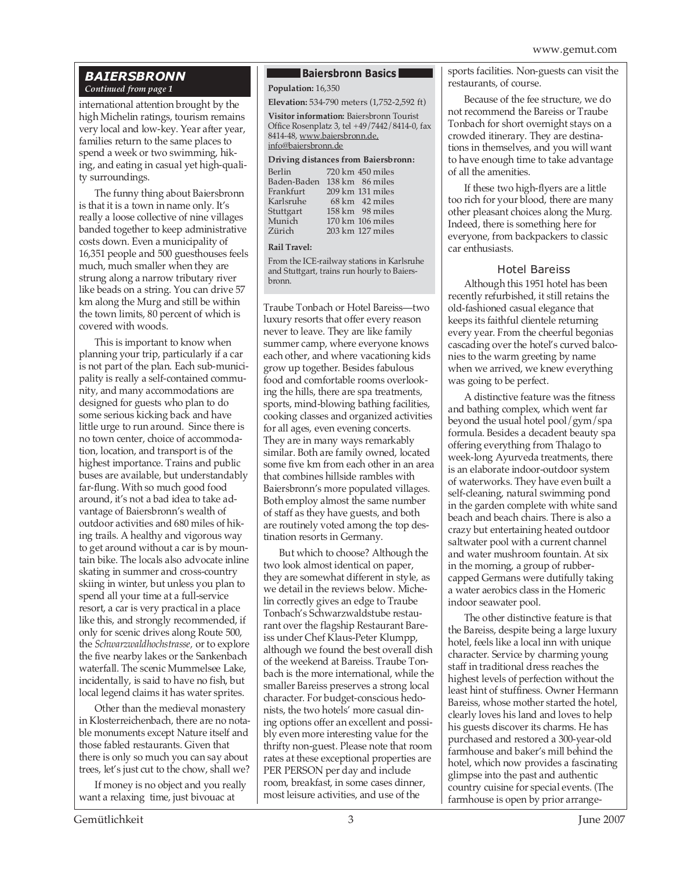#### *BAIERSBRONN Continued from page 1*

international attention brought by the high Michelin ratings, tourism remains very local and low-key. Year after year, families return to the same places to spend a week or two swimming, hiking, and eating in casual yet high-quality surroundings.

The funny thing about Baiersbronn is that it is a town in name only. It's really a loose collective of nine villages banded together to keep administrative costs down. Even a municipality of 16,351 people and 500 guesthouses feels much, much smaller when they are strung along a narrow tributary river like beads on a string. You can drive 57 km along the Murg and still be within the town limits, 80 percent of which is covered with woods.

This is important to know when planning your trip, particularly if a car is not part of the plan. Each sub-municipality is really a self-contained community, and many accommodations are designed for guests who plan to do some serious kicking back and have little urge to run around. Since there is no town center, choice of accommodation, location, and transport is of the highest importance. Trains and public buses are available, but understandably far-flung. With so much good food around, it's not a bad idea to take advantage of Baiersbronn's wealth of outdoor activities and 680 miles of hiking trails. A healthy and vigorous way to get around without a car is by mountain bike. The locals also advocate inline skating in summer and cross-country skiing in winter, but unless you plan to spend all your time at a full-service resort, a car is very practical in a place like this, and strongly recommended, if only for scenic drives along Route 500, the *Schwarzwaldhochstrasse,* or to explore the five nearby lakes or the Sankenbach waterfall. The scenic Mummelsee Lake, incidentally, is said to have no fish, but local legend claims it has water sprites.

Other than the medieval monastery in Klosterreichenbach, there are no notable monuments except Nature itself and those fabled restaurants. Given that there is only so much you can say about trees, let's just cut to the chow, shall we?

If money is no object and you really want a relaxing time, just bivouac at

#### **Baiersbronn Basics**

**Population:** 16,350

**Elevation:** 534-790 meters (1,752-2,592 ft)

**Visitor information:** Baiersbronn Tourist Office Rosenplatz 3, tel +49/7442/8414-0, fax 8414-48, www.baiersbronn.de, info@baiersbronn.de

#### **Driving distances from Baiersbronn:**

| 720 km 450 miles           |
|----------------------------|
| $138 \mathrm{km}$ 86 miles |
| 209 km 131 miles           |
| 68 km 42 miles             |
| 158 km 98 miles            |
| 170 km 106 miles           |
| 203 km 127 miles           |
|                            |

#### **Rail Travel:**

From the ICE-railway stations in Karlsruhe and Stuttgart, trains run hourly to Baiersbronn.

Traube Tonbach or Hotel Bareiss—two luxury resorts that offer every reason never to leave. They are like family summer camp, where everyone knows each other, and where vacationing kids grow up together. Besides fabulous food and comfortable rooms overlooking the hills, there are spa treatments, sports, mind-blowing bathing facilities, cooking classes and organized activities for all ages, even evening concerts. They are in many ways remarkably similar. Both are family owned, located some five km from each other in an area that combines hillside rambles with Baiersbronn's more populated villages. Both employ almost the same number of staff as they have guests, and both are routinely voted among the top destination resorts in Germany.

But which to choose? Although the two look almost identical on paper, they are somewhat different in style, as we detail in the reviews below. Michelin correctly gives an edge to Traube Tonbach's Schwarzwaldstube restaurant over the flagship Restaurant Bareiss under Chef Klaus-Peter Klumpp, although we found the best overall dish of the weekend at Bareiss. Traube Tonbach is the more international, while the smaller Bareiss preserves a strong local character. For budget-conscious hedonists, the two hotels' more casual dining options offer an excellent and possibly even more interesting value for the thrifty non-guest. Please note that room rates at these exceptional properties are PER PERSON per day and include room, breakfast, in some cases dinner, most leisure activities, and use of the

sports facilities. Non-guests can visit the restaurants, of course.

Because of the fee structure, we do not recommend the Bareiss or Traube Tonbach for short overnight stays on a crowded itinerary. They are destinations in themselves, and you will want to have enough time to take advantage of all the amenities.

If these two high-flyers are a little too rich for your blood, there are many other pleasant choices along the Murg. Indeed, there is something here for everyone, from backpackers to classic car enthusiasts.

#### Hotel Bareiss

Although this 1951 hotel has been recently refurbished, it still retains the old-fashioned casual elegance that keeps its faithful clientele returning every year. From the cheerful begonias cascading over the hotel's curved balconies to the warm greeting by name when we arrived, we knew everything was going to be perfect.

A distinctive feature was the fitness and bathing complex, which went far beyond the usual hotel pool/gym/spa formula. Besides a decadent beauty spa offering everything from Thalago to week-long Ayurveda treatments, there is an elaborate indoor-outdoor system of waterworks. They have even built a self-cleaning, natural swimming pond in the garden complete with white sand beach and beach chairs. There is also a crazy but entertaining heated outdoor saltwater pool with a current channel and water mushroom fountain. At six in the morning, a group of rubbercapped Germans were dutifully taking a water aerobics class in the Homeric indoor seawater pool.

The other distinctive feature is that the Bareiss, despite being a large luxury hotel, feels like a local inn with unique character. Service by charming young staff in traditional dress reaches the highest levels of perfection without the least hint of stuffiness. Owner Hermann Bareiss, whose mother started the hotel, clearly loves his land and loves to help his guests discover its charms. He has purchased and restored a 300-year-old farmhouse and baker's mill behind the hotel, which now provides a fascinating glimpse into the past and authentic country cuisine for special events. (The farmhouse is open by prior arrange-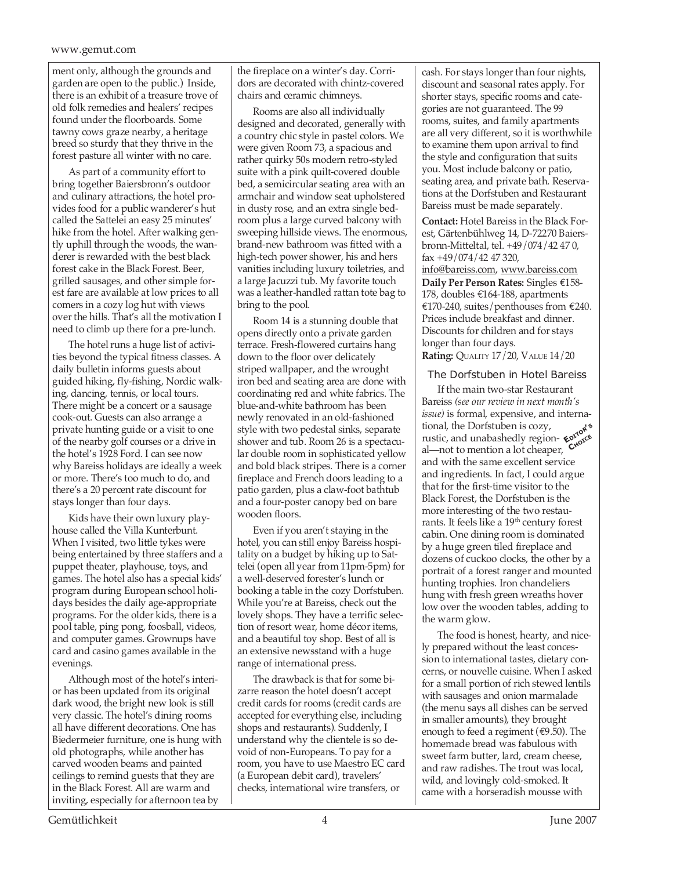#### www.gemut.com

ment only, although the grounds and garden are open to the public.) Inside, there is an exhibit of a treasure trove of old folk remedies and healers' recipes found under the floorboards. Some tawny cows graze nearby, a heritage breed so sturdy that they thrive in the forest pasture all winter with no care.

As part of a community effort to bring together Baiersbronn's outdoor and culinary attractions, the hotel provides food for a public wanderer's hut called the Sattelei an easy 25 minutes' hike from the hotel. After walking gently uphill through the woods, the wanderer is rewarded with the best black forest cake in the Black Forest. Beer, grilled sausages, and other simple forest fare are available at low prices to all comers in a cozy log hut with views over the hills. That's all the motivation I need to climb up there for a pre-lunch.

The hotel runs a huge list of activities beyond the typical fitness classes. A daily bulletin informs guests about guided hiking, fly-fishing, Nordic walking, dancing, tennis, or local tours. There might be a concert or a sausage cook-out. Guests can also arrange a private hunting guide or a visit to one of the nearby golf courses or a drive in the hotel's 1928 Ford. I can see now why Bareiss holidays are ideally a week or more. There's too much to do, and there's a 20 percent rate discount for stays longer than four days.

Kids have their own luxury playhouse called the Villa Kunterbunt. When I visited, two little tykes were being entertained by three staffers and a puppet theater, playhouse, toys, and games. The hotel also has a special kids' program during European school holidays besides the daily age-appropriate programs. For the older kids, there is a pool table, ping pong, foosball, videos, and computer games. Grownups have card and casino games available in the evenings.

Although most of the hotel's interior has been updated from its original dark wood, the bright new look is still very classic. The hotel's dining rooms all have different decorations. One has Biedermeier furniture, one is hung with old photographs, while another has carved wooden beams and painted ceilings to remind guests that they are in the Black Forest. All are warm and inviting, especially for afternoon tea by

the fireplace on a winter's day. Corridors are decorated with chintz-covered chairs and ceramic chimneys.

Rooms are also all individually designed and decorated, generally with a country chic style in pastel colors. We were given Room 73, a spacious and rather quirky 50s modern retro-styled suite with a pink quilt-covered double bed, a semicircular seating area with an armchair and window seat upholstered in dusty rose, and an extra single bedroom plus a large curved balcony with sweeping hillside views. The enormous, brand-new bathroom was fitted with a high-tech power shower, his and hers vanities including luxury toiletries, and a large Jacuzzi tub. My favorite touch was a leather-handled rattan tote bag to bring to the pool.

Room 14 is a stunning double that opens directly onto a private garden terrace. Fresh-flowered curtains hang down to the floor over delicately striped wallpaper, and the wrought iron bed and seating area are done with coordinating red and white fabrics. The blue-and-white bathroom has been newly renovated in an old-fashioned style with two pedestal sinks, separate shower and tub. Room 26 is a spectacular double room in sophisticated yellow and bold black stripes. There is a corner fireplace and French doors leading to a patio garden, plus a claw-foot bathtub and a four-poster canopy bed on bare wooden floors.

Even if you aren't staying in the hotel, you can still enjoy Bareiss hospitality on a budget by hiking up to Sattelei (open all year from 11pm-5pm) for a well-deserved forester's lunch or booking a table in the cozy Dorfstuben. While you're at Bareiss, check out the lovely shops. They have a terrific selection of resort wear, home décor items, and a beautiful toy shop. Best of all is an extensive newsstand with a huge range of international press.

The drawback is that for some bizarre reason the hotel doesn't accept credit cards for rooms (credit cards are accepted for everything else, including shops and restaurants). Suddenly, I understand why the clientele is so devoid of non-Europeans. To pay for a room, you have to use Maestro EC card (a European debit card), travelers' checks, international wire transfers, or

cash. For stays longer than four nights, discount and seasonal rates apply. For shorter stays, specific rooms and categories are not guaranteed. The 99 rooms, suites, and family apartments are all very different, so it is worthwhile to examine them upon arrival to find the style and configuration that suits you. Most include balcony or patio, seating area, and private bath. Reservations at the Dorfstuben and Restaurant Bareiss must be made separately.

**Contact:** Hotel Bareiss in the Black Forest, Gärtenbühlweg 14, D-72270 Baiersbronn-Mitteltal, tel. +49/074/42 47 0, fax +49/074/42 47 320,

info@bareiss.com, www.bareiss.com **Daily Per Person Rates:** Singles €158- 178, doubles €164-188, apartments €170-240, suites/penthouses from €240. Prices include breakfast and dinner. Discounts for children and for stays longer than four days. **Rating:** QUALITY 17/20, VALUE 14/20

#### The Dorfstuben in Hotel Bareiss

If the main two-star Restaurant Bareiss *(see our review in next month's issue)* is formal, expensive, and international, the Dorfstuben is cozy, rustic, and unabashedly region-<br>rustic, and unabashedly region-<br>al unat to montion a lot choaper. Cross al—not to mention a lot cheaper,  $C_{\text{A}}^{\text{av}}$  and with the sec and with the same excellent service and ingredients. In fact, I could argue that for the first-time visitor to the Black Forest, the Dorfstuben is the more interesting of the two restaurants. It feels like a 19<sup>th</sup> century forest cabin. One dining room is dominated by a huge green tiled fireplace and dozens of cuckoo clocks, the other by a portrait of a forest ranger and mounted hunting trophies. Iron chandeliers hung with fresh green wreaths hover low over the wooden tables, adding to the warm glow.

The food is honest, hearty, and nicely prepared without the least concession to international tastes, dietary concerns, or nouvelle cuisine. When I asked for a small portion of rich stewed lentils with sausages and onion marmalade (the menu says all dishes can be served in smaller amounts), they brought enough to feed a regiment ( $\epsilon$ 9.50). The homemade bread was fabulous with sweet farm butter, lard, cream cheese, and raw radishes. The trout was local, wild, and lovingly cold-smoked. It came with a horseradish mousse with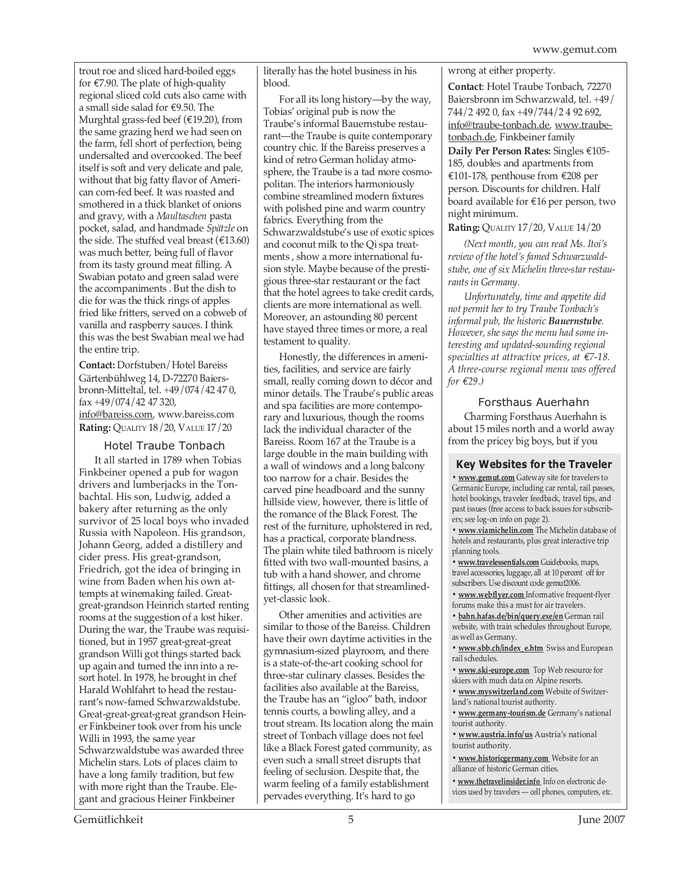trout roe and sliced hard-boiled eggs for  $\epsilon$ 7.90. The plate of high-quality regional sliced cold cuts also came with a small side salad for €9.50. The Murghtal grass-fed beef (€19.20), from the same grazing herd we had seen on the farm, fell short of perfection, being undersalted and overcooked. The beef itself is soft and very delicate and pale, without that big fatty flavor of American corn-fed beef. It was roasted and smothered in a thick blanket of onions and gravy, with a *Maultaschen* pasta pocket, salad, and handmade *Spätzle* on the side. The stuffed veal breast ( $£13.60$ ) was much better, being full of flavor from its tasty ground meat filling. A Swabian potato and green salad were the accompaniments . But the dish to die for was the thick rings of apples fried like fritters, served on a cobweb of vanilla and raspberry sauces. I think this was the best Swabian meal we had the entire trip.

**Contact:** Dorfstuben/Hotel Bareiss Gärtenbühlweg 14, D-72270 Baiersbronn-Mitteltal, tel. +49/074/42 47 0, fax +49/074/42 47 320, info@bareiss.com, www.bareiss.com **Rating:** QUALITY 18/20, VALUE 17/20

#### Hotel Traube Tonbach

It all started in 1789 when Tobias Finkbeiner opened a pub for wagon drivers and lumberjacks in the Tonbachtal. His son, Ludwig, added a bakery after returning as the only survivor of 25 local boys who invaded Russia with Napoleon. His grandson, Johann Georg, added a distillery and cider press. His great-grandson, Friedrich, got the idea of bringing in wine from Baden when his own attempts at winemaking failed. Greatgreat-grandson Heinrich started renting rooms at the suggestion of a lost hiker. During the war, the Traube was requisitioned, but in 1957 great-great-great grandson Willi got things started back up again and turned the inn into a resort hotel. In 1978, he brought in chef Harald Wohlfahrt to head the restaurant's now-famed Schwarzwaldstube. Great-great-great-great grandson Heiner Finkbeiner took over from his uncle Willi in 1993, the same year Schwarzwaldstube was awarded three Michelin stars. Lots of places claim to have a long family tradition, but few with more right than the Traube. Elegant and gracious Heiner Finkbeiner

literally has the hotel business in his blood.

For all its long history—by the way, Tobias' original pub is now the Traube's informal Bauernstube restaurant—the Traube is quite contemporary country chic. If the Bareiss preserves a kind of retro German holiday atmosphere, the Traube is a tad more cosmopolitan. The interiors harmoniously combine streamlined modern fixtures with polished pine and warm country fabrics. Everything from the Schwarzwaldstube's use of exotic spices and coconut milk to the Qi spa treatments , show a more international fusion style. Maybe because of the prestigious three-star restaurant or the fact that the hotel agrees to take credit cards, clients are more international as well. Moreover, an astounding 80 percent have stayed three times or more, a real testament to quality.

Honestly, the differences in amenities, facilities, and service are fairly small, really coming down to décor and minor details. The Traube's public areas and spa facilities are more contemporary and luxurious, though the rooms lack the individual character of the Bareiss. Room 167 at the Traube is a large double in the main building with a wall of windows and a long balcony too narrow for a chair. Besides the carved pine headboard and the sunny hillside view, however, there is little of the romance of the Black Forest. The rest of the furniture, upholstered in red, has a practical, corporate blandness. The plain white tiled bathroom is nicely fitted with two wall-mounted basins, a tub with a hand shower, and chrome fittings, all chosen for that streamlinedyet-classic look.

Other amenities and activities are similar to those of the Bareiss. Children have their own daytime activities in the gymnasium-sized playroom, and there is a state-of-the-art cooking school for three-star culinary classes. Besides the facilities also available at the Bareiss, the Traube has an "igloo" bath, indoor tennis courts, a bowling alley, and a trout stream. Its location along the main street of Tonbach village does not feel like a Black Forest gated community, as even such a small street disrupts that feeling of seclusion. Despite that, the warm feeling of a family establishment pervades everything. It's hard to go

wrong at either property.

**Contact**: Hotel Traube Tonbach, 72270 Baiersbronn im Schwarzwald, tel. +49/ 744/2 492 0, fax +49/744/2 4 92 692, info@traube-tonbach.de, www.traubetonbach.de, Finkbeiner family

**Daily Per Person Rates:** Singles €105- 185, doubles and apartments from €101-178, penthouse from €208 per person. Discounts for children. Half board available for €16 per person, two night minimum.

**Rating:** QUALITY 17/20, VALUE 14/20

*(Next month, you can read Ms. Itoi's review of the hotel's famed Schwarzwaldstube, one of six Michelin three-star restaurants in Germany.*

*Unfortunately, time and appetite did not permit her to try Traube Tonbach's informal pub, the historic Bauernstube. However, she says the menu had some interesting and updated-sounding regional specialties at attractive prices, at €7-18. A three-course regional menu was offered for €29.)*

#### Forsthaus Auerhahn

Charming Forsthaus Auerhahn is about 15 miles north and a world away from the pricey big boys, but if you

#### **Key Websites for the Traveler**

**• www.gemut.com** Gateway site for travelers to Germanic Europe, including car rental, rail passes, hotel bookings, traveler feedback, travel tips, and past issues (free access to back issues for subscribers; see log-on info on page 2).

**• www.viamichelin.com** The Michelin database of hotels and restaurants, plus great interactive trip planning tools.

**• www.travelessentials.com** Guidebooks, maps, travel accessories, luggage, all at 10 percent off for subscribers. Use discount code gemut2006.

**• www.webflyer.com** Informative frequent-flyer forums make this a must for air travelers.

**• bahn.hafas.de/bin/query.exe/en** German rail website, with train schedules throughout Europe, as well as Germany.

**• www.sbb.ch/index\_e.htm** Swiss and European rail schedules.

**• www.ski-europe.com** Top Web resource for skiers with much data on Alpine resorts.

**• www.myswitzerland.com** Website of Switzerland's national tourist authority.

**• www.germany-tourism.de** Germany's national tourist authority.

**• www.austria.info/us** Austria's national tourist authority.

**• www.historicgermany.com** Website for an alliance of historic German cities.

**• www.thetravelinsider.info** Info on electronic devices used by travelers — cell phones, computers, etc.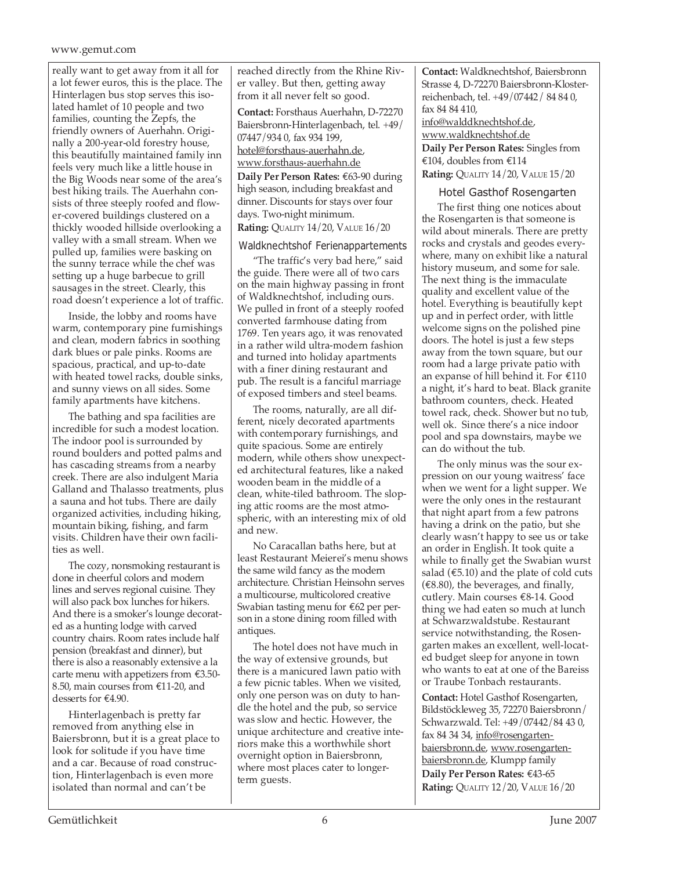#### www.gemut.com

really want to get away from it all for a lot fewer euros, this is the place. The Hinterlagen bus stop serves this isolated hamlet of 10 people and two families, counting the Zepfs, the friendly owners of Auerhahn. Originally a 200-year-old forestry house, this beautifully maintained family inn feels very much like a little house in the Big Woods near some of the area's best hiking trails. The Auerhahn consists of three steeply roofed and flower-covered buildings clustered on a thickly wooded hillside overlooking a valley with a small stream. When we pulled up, families were basking on the sunny terrace while the chef was setting up a huge barbecue to grill sausages in the street. Clearly, this road doesn't experience a lot of traffic.

Inside, the lobby and rooms have warm, contemporary pine furnishings and clean, modern fabrics in soothing dark blues or pale pinks. Rooms are spacious, practical, and up-to-date with heated towel racks, double sinks, and sunny views on all sides. Some family apartments have kitchens.

The bathing and spa facilities are incredible for such a modest location. The indoor pool is surrounded by round boulders and potted palms and has cascading streams from a nearby creek. There are also indulgent Maria Galland and Thalasso treatments, plus a sauna and hot tubs. There are daily organized activities, including hiking, mountain biking, fishing, and farm visits. Children have their own facilities as well.

The cozy, nonsmoking restaurant is done in cheerful colors and modern lines and serves regional cuisine. They will also pack box lunches for hikers. And there is a smoker's lounge decorated as a hunting lodge with carved country chairs. Room rates include half pension (breakfast and dinner), but there is also a reasonably extensive a la carte menu with appetizers from €3.50- 8.50, main courses from €11-20, and desserts for €4.90.

Hinterlagenbach is pretty far removed from anything else in Baiersbronn, but it is a great place to look for solitude if you have time and a car. Because of road construction, Hinterlagenbach is even more isolated than normal and can't be

reached directly from the Rhine River valley. But then, getting away from it all never felt so good.

**Contact:** Forsthaus Auerhahn, D-72270 Baiersbronn-Hinterlagenbach, tel. +49/ 07447/934 0, fax 934 199, hotel@forsthaus-auerhahn.de, www.forsthaus-auerhahn.de **Daily Per Person Rates:** €63-90 during high season, including breakfast and dinner. Discounts for stays over four days. Two-night minimum. **Rating:** QUALITY 14/20, VALUE 16/20

#### Waldknechtshof Ferienappartements

"The traffic's very bad here," said the guide. There were all of two cars on the main highway passing in front of Waldknechtshof, including ours. We pulled in front of a steeply roofed converted farmhouse dating from 1769. Ten years ago, it was renovated in a rather wild ultra-modern fashion and turned into holiday apartments with a finer dining restaurant and pub. The result is a fanciful marriage of exposed timbers and steel beams.

The rooms, naturally, are all different, nicely decorated apartments with contemporary furnishings, and quite spacious. Some are entirely modern, while others show unexpected architectural features, like a naked wooden beam in the middle of a clean, white-tiled bathroom. The sloping attic rooms are the most atmospheric, with an interesting mix of old and new.

No Caracallan baths here, but at least Restaurant Meierei's menu shows the same wild fancy as the modern architecture. Christian Heinsohn serves a multicourse, multicolored creative Swabian tasting menu for €62 per person in a stone dining room filled with antiques.

The hotel does not have much in the way of extensive grounds, but there is a manicured lawn patio with a few picnic tables. When we visited, only one person was on duty to handle the hotel and the pub, so service was slow and hectic. However, the unique architecture and creative interiors make this a worthwhile short overnight option in Baiersbronn, where most places cater to longerterm guests.

**Contact:** Waldknechtshof, Baiersbronn Strasse 4, D-72270 Baiersbronn-Klosterreichenbach, tel. +49/07442/ 84 84 0, fax 84 84 410, info@walddknechtshof.de, www.waldknechtshof.de **Daily Per Person Rates:** Singles from €104, doubles from €114

**Rating:** QUALITY 14/20, VALUE 15/20

#### Hotel Gasthof Rosengarten

The first thing one notices about the Rosengarten is that someone is wild about minerals. There are pretty rocks and crystals and geodes everywhere, many on exhibit like a natural history museum, and some for sale. The next thing is the immaculate quality and excellent value of the hotel. Everything is beautifully kept up and in perfect order, with little welcome signs on the polished pine doors. The hotel is just a few steps away from the town square, but our room had a large private patio with an expanse of hill behind it. For  $\text{\textsterling}110$ a night, it's hard to beat. Black granite bathroom counters, check. Heated towel rack, check. Shower but no tub, well ok. Since there's a nice indoor pool and spa downstairs, maybe we can do without the tub.

The only minus was the sour expression on our young waitress' face when we went for a light supper. We were the only ones in the restaurant that night apart from a few patrons having a drink on the patio, but she clearly wasn't happy to see us or take an order in English. It took quite a while to finally get the Swabian wurst salad ( $€5.10$ ) and the plate of cold cuts  $(\text{\textsterling}8.80)$ , the beverages, and finally, cutlery. Main courses €8-14. Good thing we had eaten so much at lunch at Schwarzwaldstube. Restaurant service notwithstanding, the Rosengarten makes an excellent, well-located budget sleep for anyone in town who wants to eat at one of the Bareiss or Traube Tonbach restaurants.

**Contact:** Hotel Gasthof Rosengarten, Bildstöckleweg 35, 72270 Baiersbronn/ Schwarzwald. Tel: +49/07442/84 43 0, fax 84 34 34, info@rosengartenbaiersbronn.de, www.rosengartenbaiersbronn.de, Klumpp family **Daily Per Person Rates:** €43-65 **Rating:** QUALITY 12/20, VALUE 16/20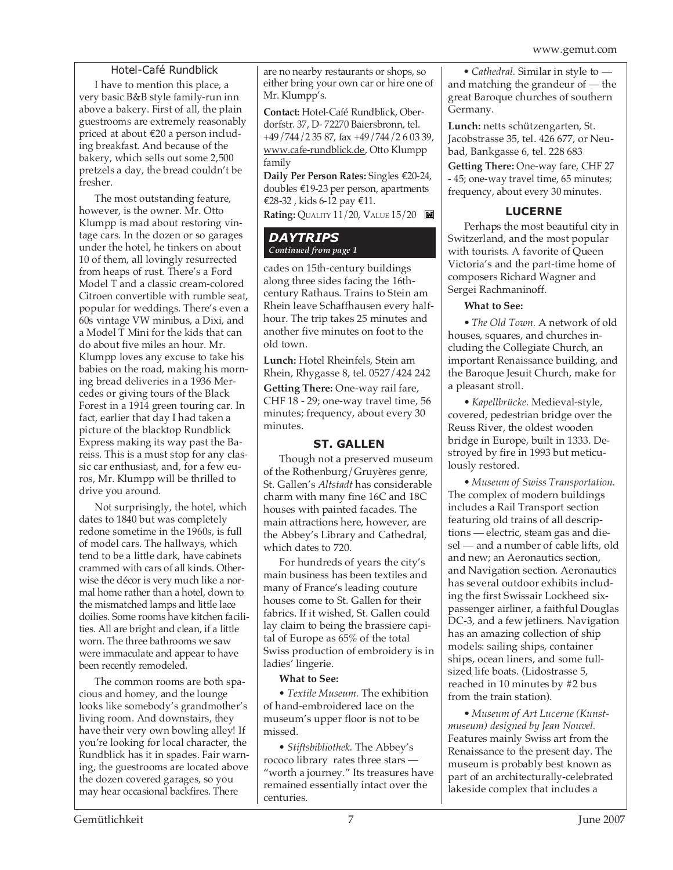#### Hotel-Café Rundblick

I have to mention this place, a very basic B&B style family-run inn above a bakery. First of all, the plain guestrooms are extremely reasonably priced at about €20 a person including breakfast. And because of the bakery, which sells out some 2,500 pretzels a day, the bread couldn't be fresher.

The most outstanding feature, however, is the owner. Mr. Otto Klumpp is mad about restoring vintage cars. In the dozen or so garages under the hotel, he tinkers on about 10 of them, all lovingly resurrected from heaps of rust. There's a Ford Model T and a classic cream-colored Citroen convertible with rumble seat, popular for weddings. There's even a 60s vintage VW minibus, a Dixi, and a Model T Mini for the kids that can do about five miles an hour. Mr. Klumpp loves any excuse to take his babies on the road, making his morning bread deliveries in a 1936 Mercedes or giving tours of the Black Forest in a 1914 green touring car. In fact, earlier that day I had taken a picture of the blacktop Rundblick Express making its way past the Bareiss. This is a must stop for any classic car enthusiast, and, for a few euros, Mr. Klumpp will be thrilled to drive you around.

Not surprisingly, the hotel, which dates to 1840 but was completely redone sometime in the 1960s, is full of model cars. The hallways, which tend to be a little dark, have cabinets crammed with cars of all kinds. Otherwise the décor is very much like a normal home rather than a hotel, down to the mismatched lamps and little lace doilies. Some rooms have kitchen facilities. All are bright and clean, if a little worn. The three bathrooms we saw were immaculate and appear to have been recently remodeled.

The common rooms are both spacious and homey, and the lounge looks like somebody's grandmother's living room. And downstairs, they have their very own bowling alley! If you're looking for local character, the Rundblick has it in spades. Fair warning, the guestrooms are located above the dozen covered garages, so you may hear occasional backfires. There

are no nearby restaurants or shops, so either bring your own car or hire one of Mr. Klumpp's.

**Contact:** Hotel-Café Rundblick, Oberdorfstr. 37, D- 72270 Baiersbronn, tel. +49/744/2 35 87, fax +49/744/2 6 03 39, www.cafe-rundblick.de, Otto Klumpp family

**Daily Per Person Rates:** Singles €20-24, doubles €19-23 per person, apartments €28-32 , kids 6-12 pay €11.

**Rating:** QUALITY 11/20, VALUE 15/20

#### *DAYTRIPS Continued from page 1*

cades on 15th-century buildings along three sides facing the 16thcentury Rathaus. Trains to Stein am Rhein leave Schaffhausen every halfhour. The trip takes 25 minutes and another five minutes on foot to the old town.

**Lunch:** Hotel Rheinfels, Stein am Rhein, Rhygasse 8, tel. 0527/424 242

**Getting There:** One-way rail fare, CHF 18 - 29; one-way travel time, 56 minutes; frequency, about every 30 minutes.

#### **ST. GALLEN**

Though not a preserved museum of the Rothenburg/Gruyères genre, St. Gallen's *Altstadt* has considerable charm with many fine 16C and 18C houses with painted facades. The main attractions here, however, are the Abbey's Library and Cathedral, which dates to 720.

For hundreds of years the city's main business has been textiles and many of France's leading couture houses come to St. Gallen for their fabrics. If it wished, St. Gallen could lay claim to being the brassiere capital of Europe as 65% of the total Swiss production of embroidery is in ladies' lingerie.

#### **What to See:**

*• Textile Museum.* The exhibition of hand-embroidered lace on the museum's upper floor is not to be missed.

*• Stiftsbibliothek.* The Abbey's rococo library rates three stars — "worth a journey." Its treasures have remained essentially intact over the centuries.

*• Cathedral.* Similar in style to and matching the grandeur of — the great Baroque churches of southern Germany.

**Lunch:** netts schützengarten, St. Jacobstrasse 35, tel. 426 677, or Neubad, Bankgasse 6, tel. 228 683

**Getting There:** One-way fare, CHF 27 - 45; one-way travel time, 65 minutes; frequency, about every 30 minutes.

#### **LUCERNE**

Perhaps the most beautiful city in Switzerland, and the most popular with tourists. A favorite of Queen Victoria's and the part-time home of composers Richard Wagner and Sergei Rachmaninoff.

#### **What to See:**

*• The Old Town.* A network of old houses, squares, and churches including the Collegiate Church, an important Renaissance building, and the Baroque Jesuit Church, make for a pleasant stroll.

*• Kapellbrücke.* Medieval-style, covered, pedestrian bridge over the Reuss River, the oldest wooden bridge in Europe, built in 1333. Destroyed by fire in 1993 but meticulously restored.

*• Museum of Swiss Transportation.* The complex of modern buildings includes a Rail Transport section featuring old trains of all descriptions — electric, steam gas and diesel — and a number of cable lifts, old and new; an Aeronautics section, and Navigation section. Aeronautics has several outdoor exhibits including the first Swissair Lockheed sixpassenger airliner, a faithful Douglas DC-3, and a few jetliners. Navigation has an amazing collection of ship models: sailing ships, container ships, ocean liners, and some fullsized life boats. (Lidostrasse 5, reached in 10 minutes by #2 bus from the train station).

*• Museum of Art Lucerne (Kunstmuseum) designed by Jean Nouvel.* Features mainly Swiss art from the Renaissance to the present day. The museum is probably best known as part of an architecturally-celebrated lakeside complex that includes a